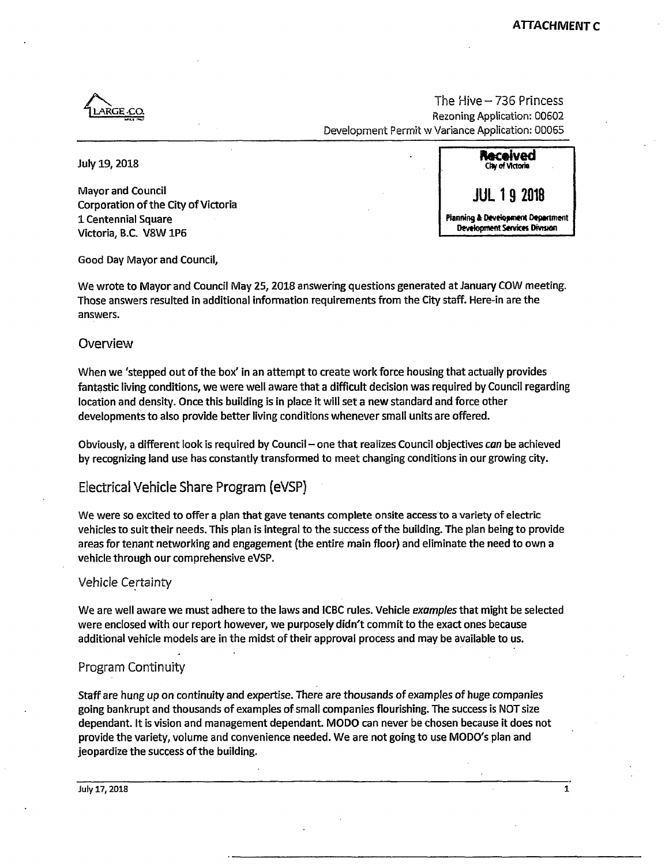

The Hive  $-$  736 Princess Rezoning Application: 00602 Development Permit w Variance Application: 00065

**Mayor and Council Corporation of the City of Victoria 1 Centennial Square Victoria, B.C. V8W1P6** 



**Good Day Mayor and Council,** 

We wrote to Mayor and Council May 25, 2018 answering questions generated at January COW meeting. **Those answers resulted in additional information requirements from the City staff. Here-in are the answers.** 

#### **Overview**

When we 'stepped out of the box' in an attempt to create work force housing that actually provides **fantastic living conditions, we were well aware that a difficult decision was required by Council regarding location and density. Once this building is in place it will set a new standard and force other developments to also provide better living conditions whenever small units are offered.** 

**Obviously, a different look is required by Council - one that realizes Council objectives** *can* **be achieved by recognizing land use has constantly transformed to meet changing conditions in our growing city.** 

# **Electrical Vehicle Share Program {eVSP}**

**We were so excited to offer a plan that gave tenants complete onsite access to a variety of electric vehicles to suit their needs. This plan is integral to the success of the building. The plan being to provide areas for tenant networking and engagement (the entire main floor) and eliminate the need to own a vehicle through our comprehensive eVSP.** 

#### **Vehicle Certainty**

**We are well aware we must adhere to the laws and ICBC rules. Vehicle** *examples* **that might be selected were enclosed with our report however, we purposely didn't commit to the exact ones because additional vehicle models are in the midst of their approval process and may be available to us.** 

# **Program Continuity**

**Staff are hung up on continuity and expertise. There are thousands of examples of huge companies going bankrupt and thousands of examples of small companies flourishing. The success is NOT size dependant. It is vision and management dependant. MODO can never be chosen because it does not provide the variety, volume and convenience needed. We are not going to use MODO's plan and jeopardize the success of the building.**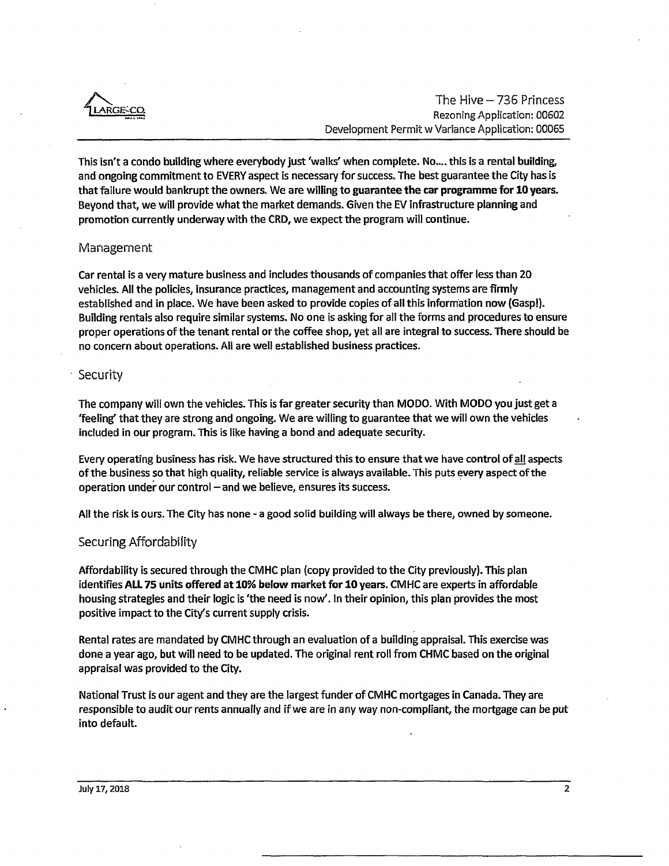

**This isn't a condo building where everybody just 'walks' when complete. No.... this is a rental building, and ongoing commitment to EVERY aspect is necessary for success. The best guarantee the City has is that failure would bankrupt the owners. We are willing to guarantee the car programme for 10 years. Beyond that, we will provide what the market demands. Given the EV infrastructure planning and promotion currently underway with the CRD, we expect the program will continue.** 

### **Management**

**Car rental is a very mature business and includes thousands of companies that offer less than 20 vehicles. All the policies, insurance practices, management and accounting systems are firmly established and in place. We have been asked to provide copies of all this information now (Gasp!). Building rentals also require similar systems. No one is asking for all the forms and procedures to ensure proper operations of the tenant rental or the coffee shop, yet all are integral to success. There should be no concern about operations. All are well established business practices.** 

#### **Security**

**The company will own the vehicles. This is far greater security than MODO. With MODO you just get a 'feeling' that they are strong and ongoing. We are willing to guarantee that we will own the vehicles included in our program. This is like having a bond and adequate security.** 

**Every operating business has risk. We have structured this to ensure that we have control of all aspects of the business so that high quality, reliable service is always available. This puts every aspect of the**  operation under our control - and we believe, ensures its success.

**All the risk is ours. The City has none - a good solid building will always be there, owned by someone.** 

## **Securing Affordabiiity**

**Affordability is secured through the CMHC plan (copy provided to the City previously). This plan identifies ALL 75 units offered at 10% below market for 10 years. CMHC are experts in affordable housing strategies and their logic is 'the need is now'. In their opinion, this plan provides the most positive impact to the City's current supply crisis.** 

**Rental rates are mandated by CMHC through an evaluation of a building appraisal. This exercise was done a year ago, but will need to be updated. The original rent roll from CHMC based on the original appraisal was provided to the City.** 

**National Trust is our agent and they are the largest funder of CMHC mortgages in Canada. They are responsible to audit our rents annually and if we are in any way non-compliant, the mortgage can be put into default.**